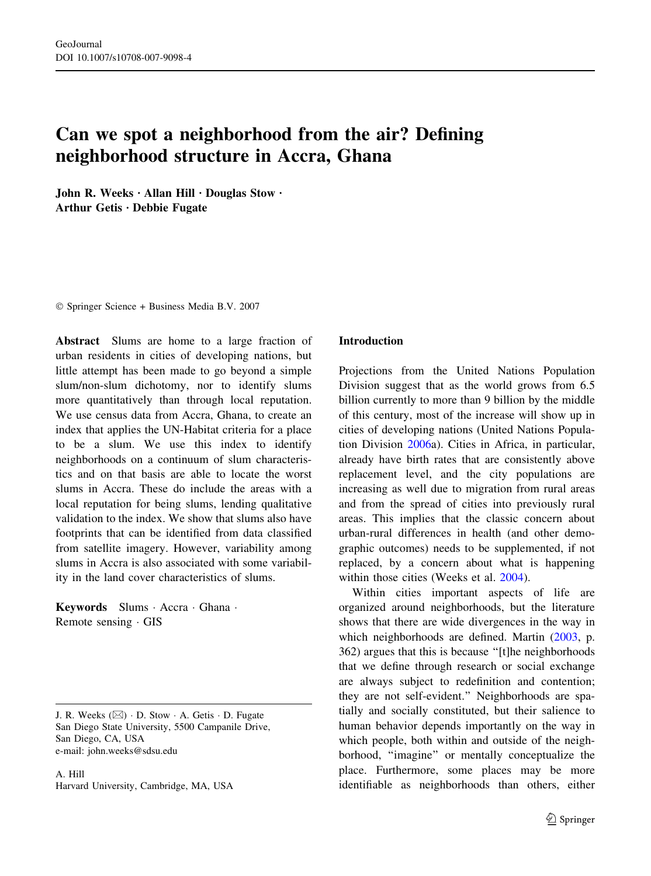# Can we spot a neighborhood from the air? Defining neighborhood structure in Accra, Ghana

John R. Weeks  $\cdot$  Allan Hill  $\cdot$  Douglas Stow  $\cdot$ Arthur Getis  $\cdot$  Debbie Fugate

! Springer Science + Business Media B.V. 2007

Abstract Slums are home to a large fraction of urban residents in cities of developing nations, but little attempt has been made to go beyond a simple slum/non-slum dichotomy, nor to identify slums more quantitatively than through local reputation. We use census data from Accra, Ghana, to create an index that applies the UN-Habitat criteria for a place to be a slum. We use this index to identify neighborhoods on a continuum of slum characteristics and on that basis are able to locate the worst slums in Accra. These do include the areas with a local reputation for being slums, lending qualitative validation to the index. We show that slums also have footprints that can be identified from data classified from satellite imagery. However, variability among slums in Accra is also associated with some variability in the land cover characteristics of slums.

Keywords Slums · Accra · Ghana · Remote sensing  $\cdot$  GIS

 $J. R. Weeks$  ( $\boxtimes$ )  $\cdot$  D. Stow  $\cdot$  A. Getis  $\cdot$  D. Fugate San Diego State University, 5500 Campanile Drive, San Diego, CA, USA e-mail: john.weeks@sdsu.edu

A. Hill Harvard University, Cambridge, MA, USA

#### Introduction

Projections from the United Nations Population Division suggest that as the world grows from 6.5 billion currently to more than 9 billion by the middle of this century, most of the increase will show up in cities of developing nations (United Nations Population Division [2006a](#page-13-0)). Cities in Africa, in particular, already have birth rates that are consistently above replacement level, and the city populations are increasing as well due to migration from rural areas and from the spread of cities into previously rural areas. This implies that the classic concern about urban-rural differences in health (and other demographic outcomes) needs to be supplemented, if not replaced, by a concern about what is happening within those cities (Weeks et al. [2004](#page-13-0)).

Within cities important aspects of life are organized around neighborhoods, but the literature shows that there are wide divergences in the way in which neighborhoods are defined. Martin ([2003,](#page-12-0) p. 362) argues that this is because ''[t]he neighborhoods that we define through research or social exchange are always subject to redefinition and contention; they are not self-evident.'' Neighborhoods are spatially and socially constituted, but their salience to human behavior depends importantly on the way in which people, both within and outside of the neighborhood, ''imagine'' or mentally conceptualize the place. Furthermore, some places may be more identifiable as neighborhoods than others, either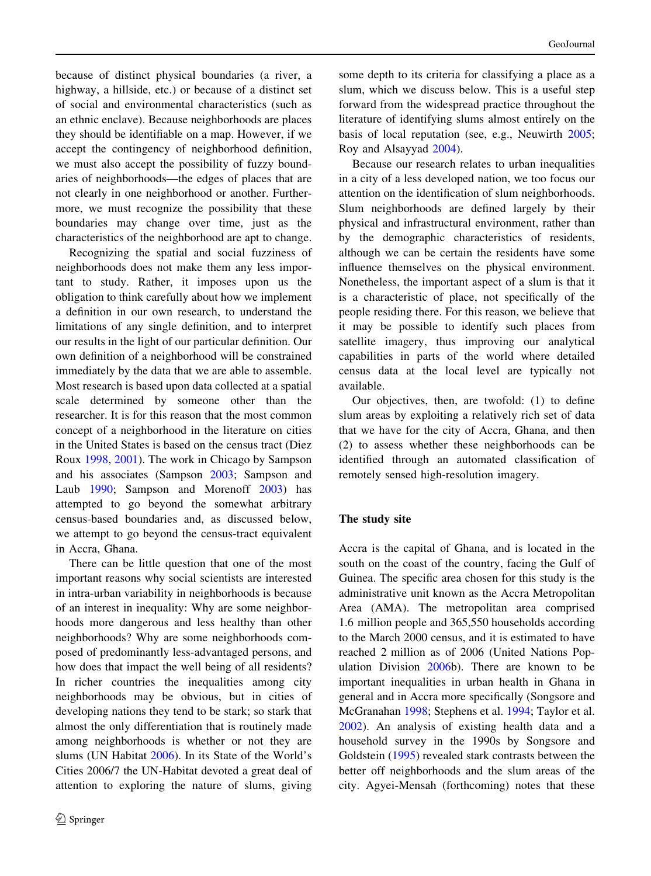because of distinct physical boundaries (a river, a highway, a hillside, etc.) or because of a distinct set of social and environmental characteristics (such as an ethnic enclave). Because neighborhoods are places they should be identifiable on a map. However, if we accept the contingency of neighborhood definition, we must also accept the possibility of fuzzy boundaries of neighborhoods—the edges of places that are not clearly in one neighborhood or another. Furthermore, we must recognize the possibility that these boundaries may change over time, just as the characteristics of the neighborhood are apt to change.

Recognizing the spatial and social fuzziness of neighborhoods does not make them any less important to study. Rather, it imposes upon us the obligation to think carefully about how we implement a definition in our own research, to understand the limitations of any single definition, and to interpret our results in the light of our particular definition. Our own definition of a neighborhood will be constrained immediately by the data that we are able to assemble. Most research is based upon data collected at a spatial scale determined by someone other than the researcher. It is for this reason that the most common concept of a neighborhood in the literature on cities in the United States is based on the census tract (Diez Roux [1998](#page-12-0), [2001](#page-12-0)). The work in Chicago by Sampson and his associates (Sampson [2003](#page-12-0); Sampson and Laub [1990](#page-12-0); Sampson and Morenoff [2003\)](#page-12-0) has attempted to go beyond the somewhat arbitrary census-based boundaries and, as discussed below, we attempt to go beyond the census-tract equivalent in Accra, Ghana.

There can be little question that one of the most important reasons why social scientists are interested in intra-urban variability in neighborhoods is because of an interest in inequality: Why are some neighborhoods more dangerous and less healthy than other neighborhoods? Why are some neighborhoods composed of predominantly less-advantaged persons, and how does that impact the well being of all residents? In richer countries the inequalities among city neighborhoods may be obvious, but in cities of developing nations they tend to be stark; so stark that almost the only differentiation that is routinely made among neighborhoods is whether or not they are slums (UN Habitat [2006\)](#page-13-0). In its State of the World's Cities 2006/7 the UN-Habitat devoted a great deal of attention to exploring the nature of slums, giving

some depth to its criteria for classifying a place as a slum, which we discuss below. This is a useful step forward from the widespread practice throughout the literature of identifying slums almost entirely on the basis of local reputation (see, e.g., Neuwirth [2005](#page-12-0); Roy and Alsayyad [2004\)](#page-12-0).

Because our research relates to urban inequalities in a city of a less developed nation, we too focus our attention on the identification of slum neighborhoods. Slum neighborhoods are defined largely by their physical and infrastructural environment, rather than by the demographic characteristics of residents, although we can be certain the residents have some influence themselves on the physical environment. Nonetheless, the important aspect of a slum is that it is a characteristic of place, not specifically of the people residing there. For this reason, we believe that it may be possible to identify such places from satellite imagery, thus improving our analytical capabilities in parts of the world where detailed census data at the local level are typically not available.

Our objectives, then, are twofold: (1) to define slum areas by exploiting a relatively rich set of data that we have for the city of Accra, Ghana, and then (2) to assess whether these neighborhoods can be identified through an automated classification of remotely sensed high-resolution imagery.

## The study site

Accra is the capital of Ghana, and is located in the south on the coast of the country, facing the Gulf of Guinea. The specific area chosen for this study is the administrative unit known as the Accra Metropolitan Area (AMA). The metropolitan area comprised 1.6 million people and 365,550 households according to the March 2000 census, and it is estimated to have reached 2 million as of 2006 (United Nations Population Division [2006](#page-13-0)b). There are known to be important inequalities in urban health in Ghana in general and in Accra more specifically (Songsore and McGranahan [1998;](#page-12-0) Stephens et al. [1994;](#page-12-0) Taylor et al. [2002\)](#page-13-0). An analysis of existing health data and a household survey in the 1990s by Songsore and Goldstein ([1995\)](#page-12-0) revealed stark contrasts between the better off neighborhoods and the slum areas of the city. Agyei-Mensah (forthcoming) notes that these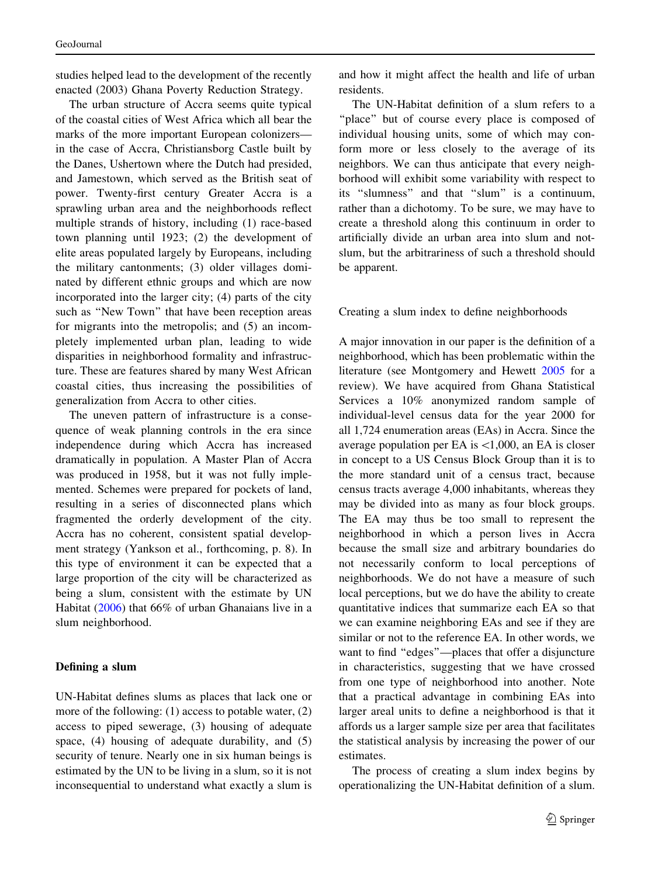studies helped lead to the development of the recently enacted (2003) Ghana Poverty Reduction Strategy.

The urban structure of Accra seems quite typical of the coastal cities of West Africa which all bear the marks of the more important European colonizers in the case of Accra, Christiansborg Castle built by the Danes, Ushertown where the Dutch had presided, and Jamestown, which served as the British seat of power. Twenty-first century Greater Accra is a sprawling urban area and the neighborhoods reflect multiple strands of history, including (1) race-based town planning until 1923; (2) the development of elite areas populated largely by Europeans, including the military cantonments; (3) older villages dominated by different ethnic groups and which are now incorporated into the larger city; (4) parts of the city such as ''New Town'' that have been reception areas for migrants into the metropolis; and (5) an incompletely implemented urban plan, leading to wide disparities in neighborhood formality and infrastructure. These are features shared by many West African coastal cities, thus increasing the possibilities of generalization from Accra to other cities.

The uneven pattern of infrastructure is a consequence of weak planning controls in the era since independence during which Accra has increased dramatically in population. A Master Plan of Accra was produced in 1958, but it was not fully implemented. Schemes were prepared for pockets of land, resulting in a series of disconnected plans which fragmented the orderly development of the city. Accra has no coherent, consistent spatial development strategy (Yankson et al., forthcoming, p. 8). In this type of environment it can be expected that a large proportion of the city will be characterized as being a slum, consistent with the estimate by UN Habitat [\(2006](#page-13-0)) that 66% of urban Ghanaians live in a slum neighborhood.

## Defining a slum

UN-Habitat defines slums as places that lack one or more of the following: (1) access to potable water, (2) access to piped sewerage, (3) housing of adequate space, (4) housing of adequate durability, and (5) security of tenure. Nearly one in six human beings is estimated by the UN to be living in a slum, so it is not inconsequential to understand what exactly a slum is

and how it might affect the health and life of urban residents.

The UN-Habitat definition of a slum refers to a "place" but of course every place is composed of individual housing units, some of which may conform more or less closely to the average of its neighbors. We can thus anticipate that every neighborhood will exhibit some variability with respect to its ''slumness'' and that ''slum'' is a continuum, rather than a dichotomy. To be sure, we may have to create a threshold along this continuum in order to artificially divide an urban area into slum and notslum, but the arbitrariness of such a threshold should be apparent.

Creating a slum index to define neighborhoods

A major innovation in our paper is the definition of a neighborhood, which has been problematic within the literature (see Montgomery and Hewett [2005](#page-12-0) for a review). We have acquired from Ghana Statistical Services a 10% anonymized random sample of individual-level census data for the year 2000 for all 1,724 enumeration areas (EAs) in Accra. Since the average population per EA is  $\lt1,000$ , an EA is closer in concept to a US Census Block Group than it is to the more standard unit of a census tract, because census tracts average 4,000 inhabitants, whereas they may be divided into as many as four block groups. The EA may thus be too small to represent the neighborhood in which a person lives in Accra because the small size and arbitrary boundaries do not necessarily conform to local perceptions of neighborhoods. We do not have a measure of such local perceptions, but we do have the ability to create quantitative indices that summarize each EA so that we can examine neighboring EAs and see if they are similar or not to the reference EA. In other words, we want to find ''edges''—places that offer a disjuncture in characteristics, suggesting that we have crossed from one type of neighborhood into another. Note that a practical advantage in combining EAs into larger areal units to define a neighborhood is that it affords us a larger sample size per area that facilitates the statistical analysis by increasing the power of our estimates.

The process of creating a slum index begins by operationalizing the UN-Habitat definition of a slum.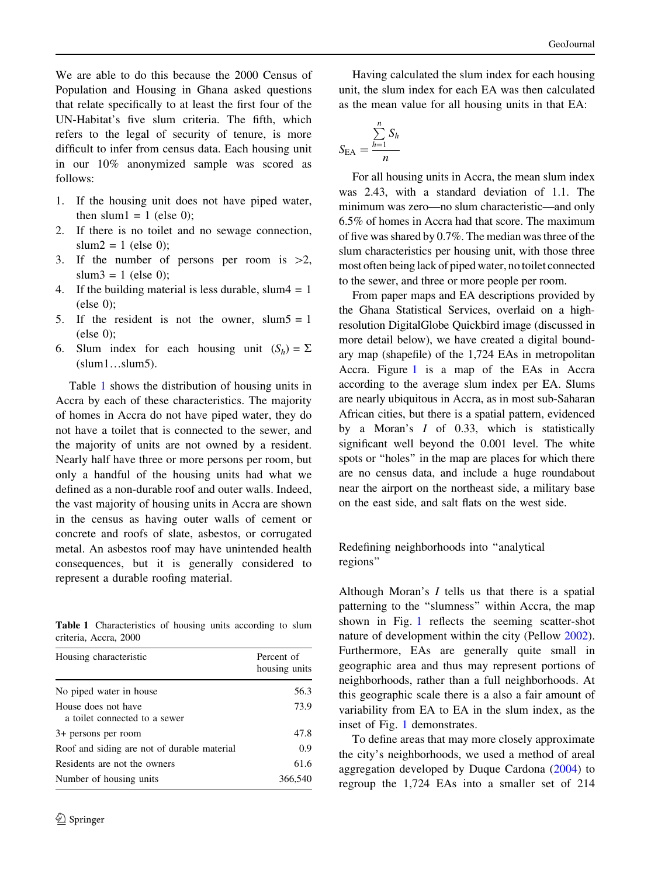We are able to do this because the 2000 Census of Population and Housing in Ghana asked questions that relate specifically to at least the first four of the UN-Habitat's five slum criteria. The fifth, which refers to the legal of security of tenure, is more difficult to infer from census data. Each housing unit in our 10% anonymized sample was scored as follows:

- 1. If the housing unit does not have piped water, then slum $1 = 1$  (else 0);
- 2. If there is no toilet and no sewage connection, slum $2 = 1$  (else 0);
- 3. If the number of persons per room is  $\geq 2$ , slum $3 = 1$  (else 0);
- 4. If the building material is less durable, slum $4 = 1$ (else 0);
- 5. If the resident is not the owner, slum  $5 = 1$ (else 0);
- 6. Slum index for each housing unit  $(S_h) = \Sigma$ (slum1…slum5).

Table 1 shows the distribution of housing units in Accra by each of these characteristics. The majority of homes in Accra do not have piped water, they do not have a toilet that is connected to the sewer, and the majority of units are not owned by a resident. Nearly half have three or more persons per room, but only a handful of the housing units had what we defined as a non-durable roof and outer walls. Indeed, the vast majority of housing units in Accra are shown in the census as having outer walls of cement or concrete and roofs of slate, asbestos, or corrugated metal. An asbestos roof may have unintended health consequences, but it is generally considered to represent a durable roofing material.

Table 1 Characteristics of housing units according to slum criteria, Accra, 2000

| Housing characteristic                               | Percent of<br>housing units |
|------------------------------------------------------|-----------------------------|
| No piped water in house                              | 56.3                        |
| House does not have<br>a toilet connected to a sewer | 73.9                        |
| 3+ persons per room                                  | 47.8                        |
| Roof and siding are not of durable material          | 0.9                         |
| Residents are not the owners                         | 61.6                        |
| Number of housing units                              | 366,540                     |

Having calculated the slum index for each housing unit, the slum index for each EA was then calculated as the mean value for all housing units in that EA:

$$
S_{\text{EA}} = \frac{\sum_{h=1}^{n} S_h}{n}
$$

For all housing units in Accra, the mean slum index was 2.43, with a standard deviation of 1.1. The minimum was zero—no slum characteristic—and only 6.5% of homes in Accra had that score. The maximum of five was shared by 0.7%. The median was three of the slum characteristics per housing unit, with those three most often being lack of piped water, no toilet connected to the sewer, and three or more people per room.

From paper maps and EA descriptions provided by the Ghana Statistical Services, overlaid on a highresolution DigitalGlobe Quickbird image (discussed in more detail below), we have created a digital boundary map (shapefile) of the 1,724 EAs in metropolitan Accra. Figure [1](#page-4-0) is a map of the EAs in Accra according to the average slum index per EA. Slums are nearly ubiquitous in Accra, as in most sub-Saharan African cities, but there is a spatial pattern, evidenced by a Moran's I of 0.33, which is statistically significant well beyond the 0.001 level. The white spots or ''holes'' in the map are places for which there are no census data, and include a huge roundabout near the airport on the northeast side, a military base on the east side, and salt flats on the west side.

Redefining neighborhoods into ''analytical regions''

Although Moran's I tells us that there is a spatial patterning to the ''slumness'' within Accra, the map shown in Fig. [1](#page-4-0) reflects the seeming scatter-shot nature of development within the city (Pellow [2002](#page-12-0)). Furthermore, EAs are generally quite small in geographic area and thus may represent portions of neighborhoods, rather than a full neighborhoods. At this geographic scale there is a also a fair amount of variability from EA to EA in the slum index, as the inset of Fig. [1](#page-4-0) demonstrates.

To define areas that may more closely approximate the city's neighborhoods, we used a method of areal aggregation developed by Duque Cardona ([2004\)](#page-12-0) to regroup the 1,724 EAs into a smaller set of 214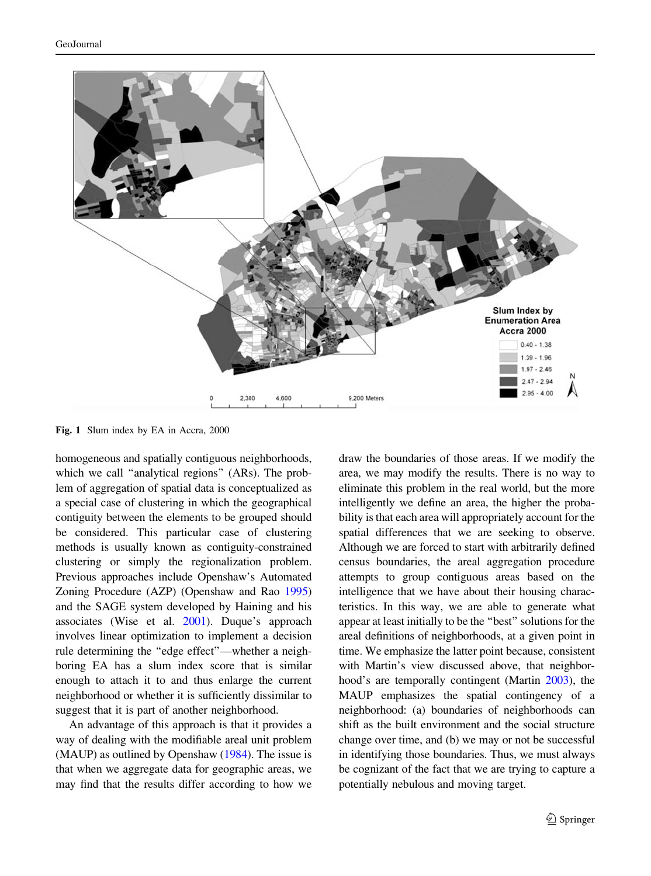<span id="page-4-0"></span>

Fig. 1 Slum index by EA in Accra, 2000

homogeneous and spatially contiguous neighborhoods, which we call "analytical regions" (ARs). The problem of aggregation of spatial data is conceptualized as a special case of clustering in which the geographical contiguity between the elements to be grouped should be considered. This particular case of clustering methods is usually known as contiguity-constrained clustering or simply the regionalization problem. Previous approaches include Openshaw's Automated Zoning Procedure (AZP) (Openshaw and Rao [1995\)](#page-12-0) and the SAGE system developed by Haining and his associates (Wise et al. [2001](#page-13-0)). Duque's approach involves linear optimization to implement a decision rule determining the ''edge effect''—whether a neighboring EA has a slum index score that is similar enough to attach it to and thus enlarge the current neighborhood or whether it is sufficiently dissimilar to suggest that it is part of another neighborhood.

An advantage of this approach is that it provides a way of dealing with the modifiable areal unit problem (MAUP) as outlined by Openshaw [\(1984\)](#page-12-0). The issue is that when we aggregate data for geographic areas, we may find that the results differ according to how we draw the boundaries of those areas. If we modify the area, we may modify the results. There is no way to eliminate this problem in the real world, but the more intelligently we define an area, the higher the probability is that each area will appropriately account for the spatial differences that we are seeking to observe. Although we are forced to start with arbitrarily defined census boundaries, the areal aggregation procedure attempts to group contiguous areas based on the intelligence that we have about their housing characteristics. In this way, we are able to generate what appear at least initially to be the ''best'' solutions for the areal definitions of neighborhoods, at a given point in time. We emphasize the latter point because, consistent with Martin's view discussed above, that neighborhood's are temporally contingent (Martin [2003](#page-12-0)), the MAUP emphasizes the spatial contingency of a neighborhood: (a) boundaries of neighborhoods can shift as the built environment and the social structure change over time, and (b) we may or not be successful in identifying those boundaries. Thus, we must always be cognizant of the fact that we are trying to capture a potentially nebulous and moving target.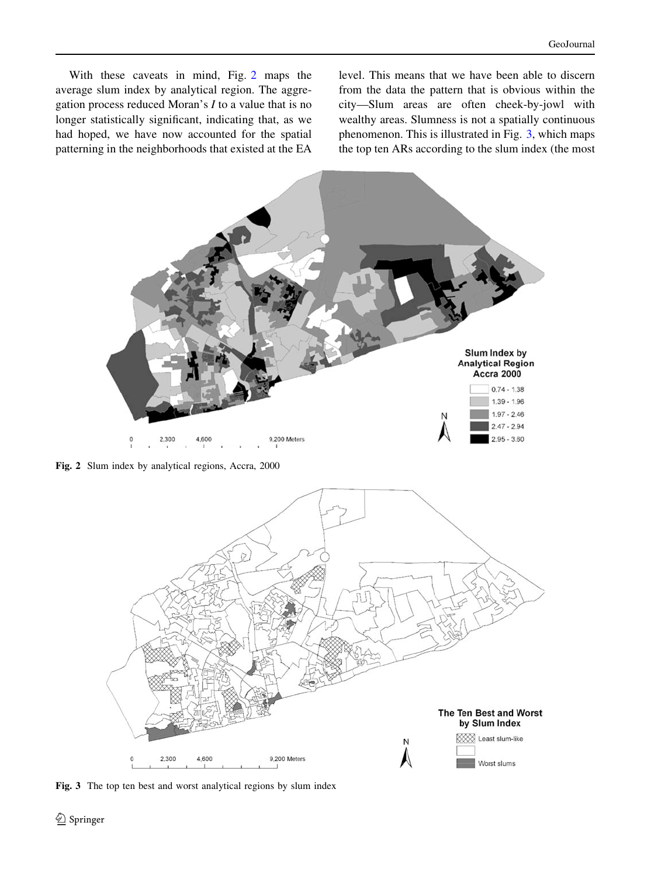<span id="page-5-0"></span>With these caveats in mind, Fig. 2 maps the average slum index by analytical region. The aggregation process reduced Moran's  $I$  to a value that is no longer statistically significant, indicating that, as we had hoped, we have now accounted for the spatial patterning in the neighborhoods that existed at the EA level. This means that we have been able to discern from the data the pattern that is obvious within the city—Slum areas are often cheek-by-jowl with wealthy areas. Slumness is not a spatially continuous phenomenon. This is illustrated in Fig. 3, which maps the top ten ARs according to the slum index (the most



Fig. 2 Slum index by analytical regions, Accra, 2000



Fig. 3 The top ten best and worst analytical regions by slum index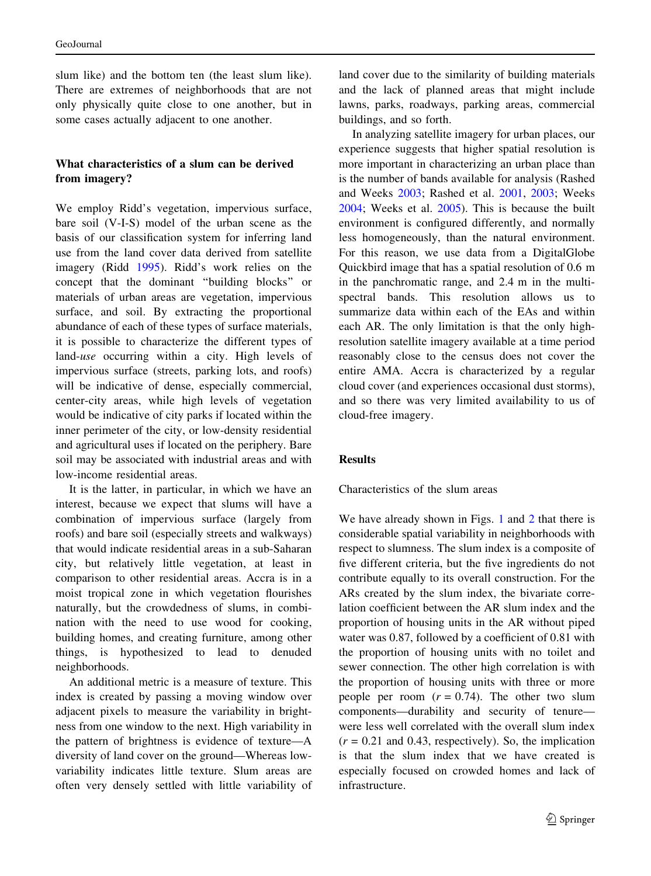slum like) and the bottom ten (the least slum like). There are extremes of neighborhoods that are not only physically quite close to one another, but in some cases actually adjacent to one another.

## What characteristics of a slum can be derived from imagery?

We employ Ridd's vegetation, impervious surface, bare soil (V-I-S) model of the urban scene as the basis of our classification system for inferring land use from the land cover data derived from satellite imagery (Ridd [1995\)](#page-12-0). Ridd's work relies on the concept that the dominant ''building blocks'' or materials of urban areas are vegetation, impervious surface, and soil. By extracting the proportional abundance of each of these types of surface materials, it is possible to characterize the different types of land-use occurring within a city. High levels of impervious surface (streets, parking lots, and roofs) will be indicative of dense, especially commercial, center-city areas, while high levels of vegetation would be indicative of city parks if located within the inner perimeter of the city, or low-density residential and agricultural uses if located on the periphery. Bare soil may be associated with industrial areas and with low-income residential areas.

It is the latter, in particular, in which we have an interest, because we expect that slums will have a combination of impervious surface (largely from roofs) and bare soil (especially streets and walkways) that would indicate residential areas in a sub-Saharan city, but relatively little vegetation, at least in comparison to other residential areas. Accra is in a moist tropical zone in which vegetation flourishes naturally, but the crowdedness of slums, in combination with the need to use wood for cooking, building homes, and creating furniture, among other things, is hypothesized to lead to denuded neighborhoods.

An additional metric is a measure of texture. This index is created by passing a moving window over adjacent pixels to measure the variability in brightness from one window to the next. High variability in the pattern of brightness is evidence of texture—A diversity of land cover on the ground—Whereas lowvariability indicates little texture. Slum areas are often very densely settled with little variability of

land cover due to the similarity of building material s and the lack of planned areas that might includ e lawns, parks, roadways, parking areas, commercia l buildings, and so forth.

In analyzing satellite imagery for urban places, ou r experience suggests that higher spatial resolution i s more important in characterizing an urban place tha n is the number of bands available for analysis (Rashe d and Weeks [2003;](#page-12-0) Rashed et al. [2001,](#page-12-0) [2003](#page-12-0); Week s [2004;](#page-13-0) Weeks et al. [2005\)](#page-13-0). This is because the buil t environment is configured differently, and normall y less homogeneously, than the natural environment . For this reason, we use data from a DigitalGlob e Quickbird image that has a spatial resolution of 0.6 m in the panchromatic range, and 2.4 m in the multi spectral bands. This resolution allows us to summarize data within each of the EAs and withi n each AR. The only limitation is that the only highresolution satellite imagery available at a time perio d reasonably close to the census does not cover th e entire AMA. Accra is characterized by a regular cloud cover (and experiences occasional dust storms) , and so there was very limited availability to us o f cloud-free imagery.

### Results

Characteristics of the slum areas

We have already shown in Figs. [1](#page-4-0) and [2](#page-5-0) that there is considerable spatial variability in neighborhoods with respect to slumness. The slum index is a composite of five different criteria, but the five ingredients do not contribute equally to its overall construction. For the ARs created by the slum index, the bivariate correlation coefficient between the AR slum index and the proportion of housing units in the AR without piped water was 0.87, followed by a coefficient of 0.81 with the proportion of housing units with no toilet and sewer connection. The other high correlation is with the proportion of housing units with three or more people per room  $(r = 0.74)$ . The other two slum components—durability and security of tenure were less well correlated with the overall slum index  $(r = 0.21$  and 0.43, respectively). So, the implication is that the slum index that we have created is especially focused on crowded homes and lack of infrastructure.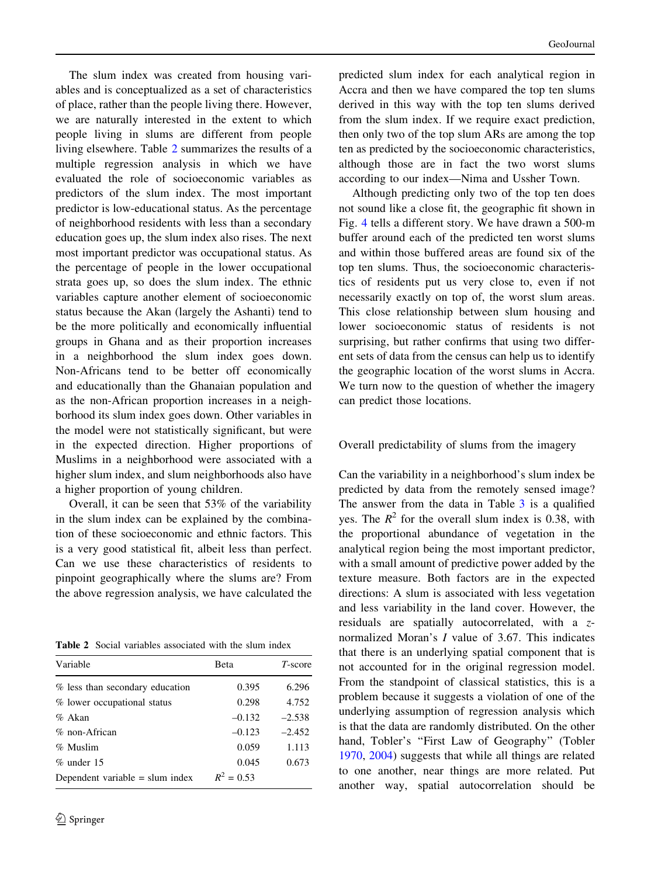The slum index was created from housing variables and is conceptualized as a set of characteristics of place, rather than the people living there. However, we are naturally interested in the extent to which people living in slums are different from people living elsewhere. Table 2 summarizes the results of a multiple regression analysis in which we have evaluated the role of socioeconomic variables as predictors of the slum index. The most important predictor is low-educational status. As the percentage of neighborhood residents with less than a secondary education goes up, the slum index also rises. The next most important predictor was occupational status. As the percentage of people in the lower occupational strata goes up, so does the slum index. The ethnic variables capture another element of socioeconomic status because the Akan (largely the Ashanti) tend to be the more politically and economically influential groups in Ghana and as their proportion increases in a neighborhood the slum index goes down. Non-Africans tend to be better off economically and educationally than the Ghanaian population and as the non-African proportion increases in a neighborhood its slum index goes down. Other variables in the model were not statistically significant, but were in the expected direction. Higher proportions of Muslims in a neighborhood were associated with a higher slum index, and slum neighborhoods also have a higher proportion of young children.

Overall, it can be seen that 53% of the variability in the slum index can be explained by the combination of these socioeconomic and ethnic factors. This is a very good statistical fit, albeit less than perfect. Can we use these characteristics of residents to pinpoint geographically where the slums are? From the above regression analysis, we have calculated the

Table 2 Social variables associated with the slum index

| Variable                          | Beta         | $T$ -score |
|-----------------------------------|--------------|------------|
| % less than secondary education   | 0.395        | 6.296      |
| % lower occupational status       | 0.298        | 4.752      |
| $%$ Akan                          | $-0.132$     | $-2.538$   |
| % non-African                     | $-0.123$     | $-2.452$   |
| % Muslim                          | 0.059        | 1.113      |
| $%$ under 15                      | 0.045        | 0.673      |
| Dependent variable $=$ slum index | $R^2 = 0.53$ |            |

predicted slum index for each analytical region in Accra and then we have compared the top ten slums derived in this way with the top ten slums derived from the slum index. If we require exact prediction, then only two of the top slum ARs are among the top ten as predicted by the socioeconomic characteristics, although those are in fact the two worst slums according to our index—Nima and Ussher Town.

Although predicting only two of the top ten does not sound like a close fit, the geographic fit shown in Fig. [4](#page-8-0) tells a different story. We have drawn a 500-m buffer around each of the predicted ten worst slums and within those buffered areas are found six of the top ten slums. Thus, the socioeconomic characteristics of residents put us very close to, even if not necessarily exactly on top of, the worst slum areas. This close relationship between slum housing and lower socioeconomic status of residents is not surprising, but rather confirms that using two different sets of data from the census can help us to identify the geographic location of the worst slums in Accra. We turn now to the question of whether the imagery can predict those locations.

## Overall predictability of slums from the imagery

Can the variability in a neighborhood's slum index be predicted by data from the remotely sensed image? The answer from the data in Table [3](#page-9-0) is a qualified yes. The  $R^2$  for the overall slum index is 0.38, with the proportional abundance of vegetation in the analytical region being the most important predictor, with a small amount of predictive power added by the texture measure. Both factors are in the expected directions: A slum is associated with less vegetation and less variability in the land cover. However, the residuals are spatially autocorrelated, with a znormalized Moran's I value of 3.67. This indicates that there is an underlying spatial component that is not accounted for in the original regression model. From the standpoint of classical statistics, this is a problem because it suggests a violation of one of the underlying assumption of regression analysis which is that the data are randomly distributed. On the other hand, Tobler's "First Law of Geography" (Tobler [1970,](#page-13-0) [2004](#page-13-0)) suggests that while all things are related to one another, near things are more related. Put another way, spatial autocorrelation should be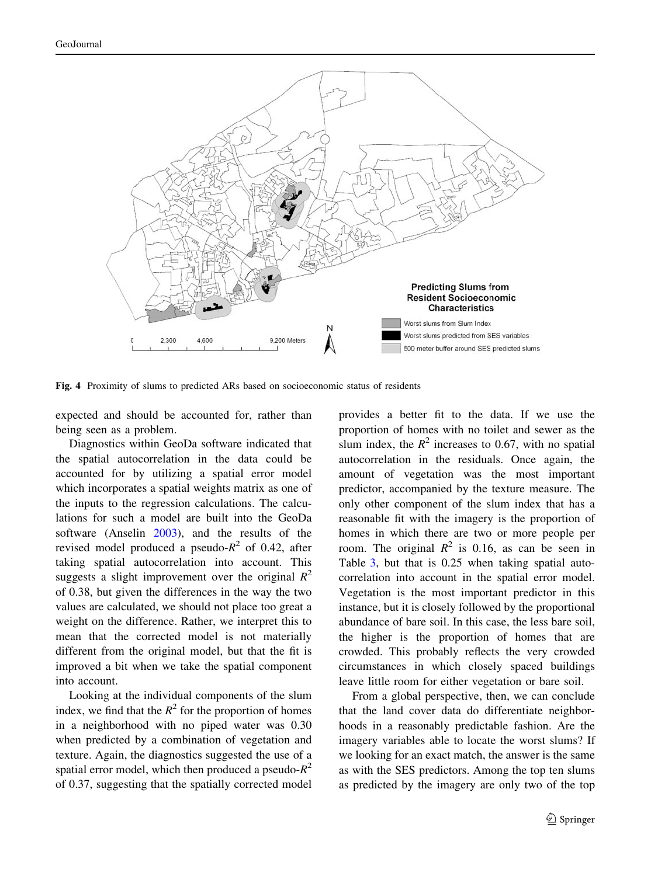<span id="page-8-0"></span>

Fig. 4 Proximity of slums to predicted ARs based on socioeconomic status of residents

expected and should be accounted for, rather than being seen as a problem.

Diagnostics within GeoDa software indicated that the spatial autocorrelation in the data could be accounted for by utilizing a spatial error model which incorporates a spatial weights matrix as one of the inputs to the regression calculations. The calculations for such a model are built into the GeoDa software (Anselin [2003](#page-12-0)), and the results of the revised model produced a pseudo- $R^2$  of 0.42, after taking spatial autocorrelation into account. This suggests a slight improvement over the original  $R^2$ of 0.38, but given the differences in the way the two values are calculated, we should not place too great a weight on the difference. Rather, we interpret this to mean that the corrected model is not materially different from the original model, but that the fit is improved a bit when we take the spatial component into account.

Looking at the individual components of the slum index, we find that the  $R^2$  for the proportion of homes in a neighborhood with no piped water was 0.30 when predicted by a combination of vegetation and texture. Again, the diagnostics suggested the use of a spatial error model, which then produced a pseudo- $R^2$ of 0.37, suggesting that the spatially corrected model provides a better fit to the data. If we use the proportion of homes with no toilet and sewer as the slum index, the  $R^2$  increases to 0.67, with no spatial autocorrelation in the residuals. Once again, the amount of vegetation was the most important predictor, accompanied by the texture measure. The only other component of the slum index that has a reasonable fit with the imagery is the proportion of homes in which there are two or more people per room. The original  $R^2$  is 0.16, as can be seen in Table [3](#page-9-0), but that is 0.25 when taking spatial autocorrelation into account in the spatial error model. Vegetation is the most important predictor in this instance, but it is closely followed by the proportional abundance of bare soil. In this case, the less bare soil, the higher is the proportion of homes that are crowded. This probably reflects the very crowded circumstances in which closely spaced buildings leave little room for either vegetation or bare soil.

From a global perspective, then, we can conclude that the land cover data do differentiate neighborhoods in a reasonably predictable fashion. Are the imagery variables able to locate the worst slums? If we looking for an exact match, the answer is the same as with the SES predictors. Among the top ten slums as predicted by the imagery are only two of the top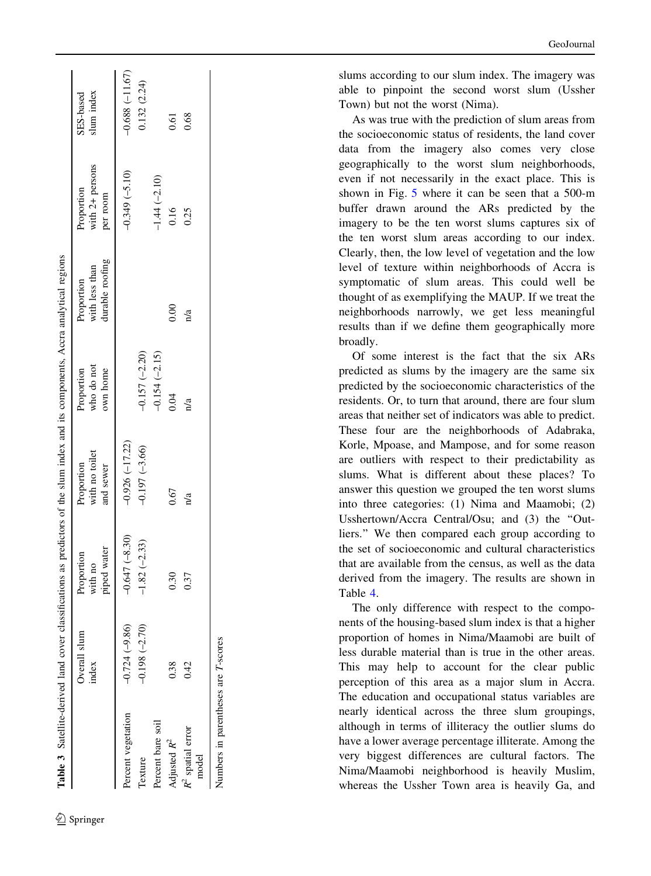<span id="page-9-0"></span>

|                                       | Overall slum<br>index | Proportion<br>with no | with no toilet<br>Proportion | who do not<br>Proportion | with less than<br>Proportion | with 2+ persons<br>Proportion | slum index<br>SES-based |
|---------------------------------------|-----------------------|-----------------------|------------------------------|--------------------------|------------------------------|-------------------------------|-------------------------|
|                                       |                       | piped water           | and sewer                    | own home                 | durable roofing              | per room                      |                         |
| Percent vegetation                    | $-0.724(-9.86)$       | $-0.647(-8.30)$       | $-0.926(-17.22)$             |                          |                              | $-0.349(-5.10)$               | $-0.688(-11.67)$        |
| Texture                               | $-0.198 (-2.70)$      | $-1.82(-2.33)$        | $-0.197 (-3.66)$             | $-0.157(-2.20)$          |                              |                               | 0.132(2.24)             |
| Percent bare soil                     |                       |                       |                              | $-0.154(-2.15)$          |                              | $-1.44 (-2.10)$               |                         |
| Adjusted $R^2$                        | 0.38                  | 0.30                  | 0.67                         | 0.04                     | 0.00                         | 0.16                          | 0.61                    |
| $\mathbb{R}^2$ spatial error<br>model | 0.42                  | 0.37                  | n/a                          | n/a                      | n/a                          | 0.25                          | 0.68                    |

slums according to our slum index. The imagery was able to pinpoint the second worst slum (Ussher Town) but not the worst (Nima).

As was true with the prediction of slum areas from the socioeconomic status of residents, the land cover data from the imagery also comes very close geographically to the worst slum neighborhoods, even if not necessarily in the exact place. This is shown in Fig. [5](#page-10-0) where it can be seen that a 500-m buffer drawn around the ARs predicted by the imagery to be the ten worst slums captures six of the ten worst slum areas according to our index. Clearly, then, the low level of vegetation and the low level of texture within neighborhoods of Accra is symptomatic of slum areas. This could well be thought of as exemplifying the MAUP. If we treat the neighborhoods narrowly, we get less meaningful results than if we define them geographically more broadly.

Of some interest is the fact that the six ARs predicted as slums by the imagery are the same six predicted by the socioeconomic characteristics of the residents. Or, to turn that around, there are four slum areas that neither set of indicators was able to predict. These four are the neighborhoods of Adabraka, Korle, Mpoase, and Mampose, and for some reason are outliers with respect to their predictability as slums. What is different about these places? To answer this question we grouped the ten worst slums into three categories: (1) Nima and Maamobi; (2) Usshertown/Accra Central/Osu; and (3) the ''Outliers.'' We then compared each group according to the set of socioeconomic and cultural characteristics that are available from the census, as well as the data derived from the imagery. The results are shown in Table [4](#page-10-0).

The only difference with respect to the components of the housing-based slum index is that a higher proportion of homes in Nima/Maamobi are built of less durable material than is true in the other areas. This may help to account for the clear public perception of this area as a major slum in Accra. The education and occupational status variables are nearly identical across the three slum groupings, although in terms of illiteracy the outlier slums do have a lower average percentage illiterate. Among the very biggest differences are cultural factors. The Nima/Maamobi neighborhood is heavily Muslim, whereas the Ussher Town area is heavily Ga, and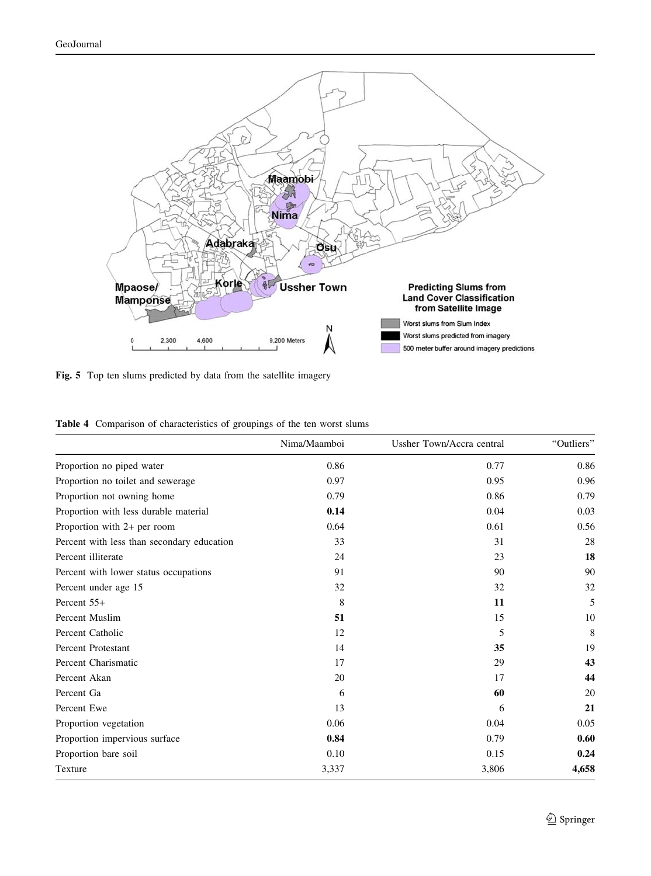<span id="page-10-0"></span>

Fig. 5 Top ten slums predicted by data from the satellite imagery

|  | <b>Table 4</b> Comparison of characteristics of groupings of the ten worst slums |  |  |  |  |  |  |
|--|----------------------------------------------------------------------------------|--|--|--|--|--|--|
|--|----------------------------------------------------------------------------------|--|--|--|--|--|--|

|                                            | Nima/Maamboi | Ussher Town/Accra central | "Outliers" |
|--------------------------------------------|--------------|---------------------------|------------|
| Proportion no piped water                  | 0.86         | 0.77                      | 0.86       |
| Proportion no toilet and sewerage          | 0.97         | 0.95                      | 0.96       |
| Proportion not owning home                 | 0.79         | 0.86                      | 0.79       |
| Proportion with less durable material      | 0.14         | 0.04                      | 0.03       |
| Proportion with 2+ per room                | 0.64         | 0.61                      | 0.56       |
| Percent with less than secondary education | 33           | 31                        | 28         |
| Percent illiterate                         | 24           | 23                        | 18         |
| Percent with lower status occupations      | 91           | 90                        | 90         |
| Percent under age 15                       | 32           | 32                        | 32         |
| Percent 55+                                | 8            | 11                        | 5          |
| Percent Muslim                             | 51           | 15                        | 10         |
| Percent Catholic                           | 12           | 5                         | 8          |
| Percent Protestant                         | 14           | 35                        | 19         |
| Percent Charismatic                        | 17           | 29                        | 43         |
| Percent Akan                               | 20           | 17                        | 44         |
| Percent Ga                                 | 6            | 60                        | 20         |
| Percent Ewe                                | 13           | 6                         | 21         |
| Proportion vegetation                      | 0.06         | 0.04                      | 0.05       |
| Proportion impervious surface              | 0.84         | 0.79                      | 0.60       |
| Proportion bare soil                       | 0.10         | 0.15                      | 0.24       |
| Texture                                    | 3,337        | 3,806                     | 4,658      |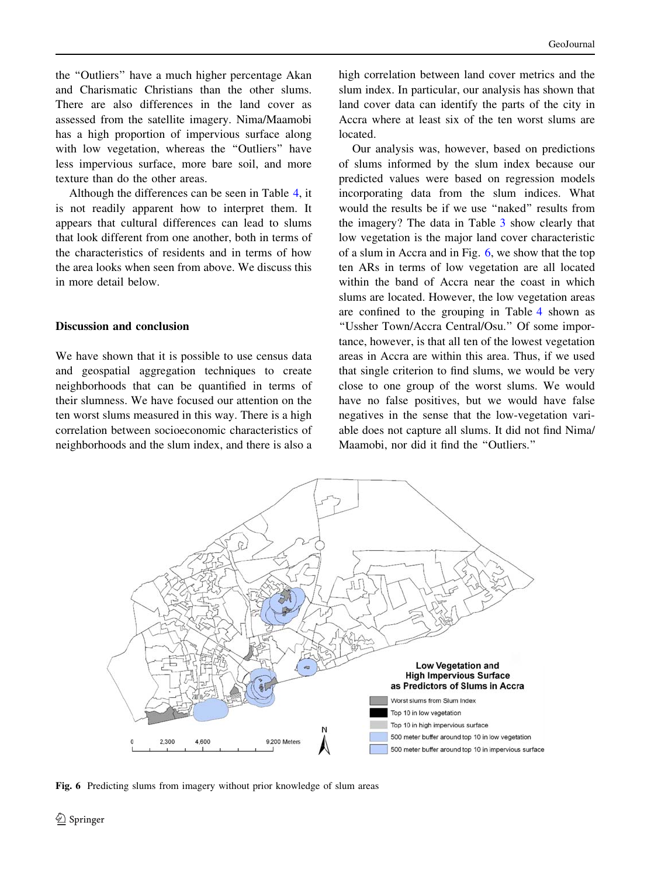the ''Outliers'' have a much higher percentage Akan and Charismatic Christians than the other slums. There are also differences in the land cover as assessed from the satellite imagery. Nima/Maamobi has a high proportion of impervious surface along with low vegetation, whereas the "Outliers" have less impervious surface, more bare soil, and more texture than do the other areas.

Although the differences can be seen in Table [4](#page-10-0), it is not readily apparent how to interpret them. It appears that cultural differences can lead to slums that look different from one another, both in terms of the characteristics of residents and in terms of how the area looks when seen from above. We discuss this in more detail below.

#### Discussion and conclusion

We have shown that it is possible to use census data and geospatial aggregation techniques to create neighborhoods that can be quantified in terms of their slumness. We have focused our attention on the ten worst slums measured in this way. There is a high correlation between socioeconomic characteristics of neighborhoods and the slum index, and there is also a

high correlation between land cover metrics and the slum index. In particular, our analysis has shown that land cover data can identify the parts of the city in Accra where at least six of the ten worst slums are located.

Our analysis was, however, based on predictions of slums informed by the slum index because our predicted values were based on regression models incorporating data from the slum indices. What would the results be if we use ''naked'' results from the imagery? The data in Table [3](#page-9-0) show clearly that low vegetation is the major land cover characteristic of a slum in Accra and in Fig. 6, we show that the top ten ARs in terms of low vegetation are all located within the band of Accra near the coast in which slums are located. However, the low vegetation areas are confined to the grouping in Table [4](#page-10-0) shown as ''Ussher Town/Accra Central/Osu.'' Of some importance, however, is that all ten of the lowest vegetation areas in Accra are within this area. Thus, if we used that single criterion to find slums, we would be very close to one group of the worst slums. We would have no false positives, but we would have false negatives in the sense that the low-vegetation variable does not capture all slums. It did not find Nima/ Maamobi, nor did it find the ''Outliers.''



Fig. 6 Predicting slums from imagery without prior knowledge of slum areas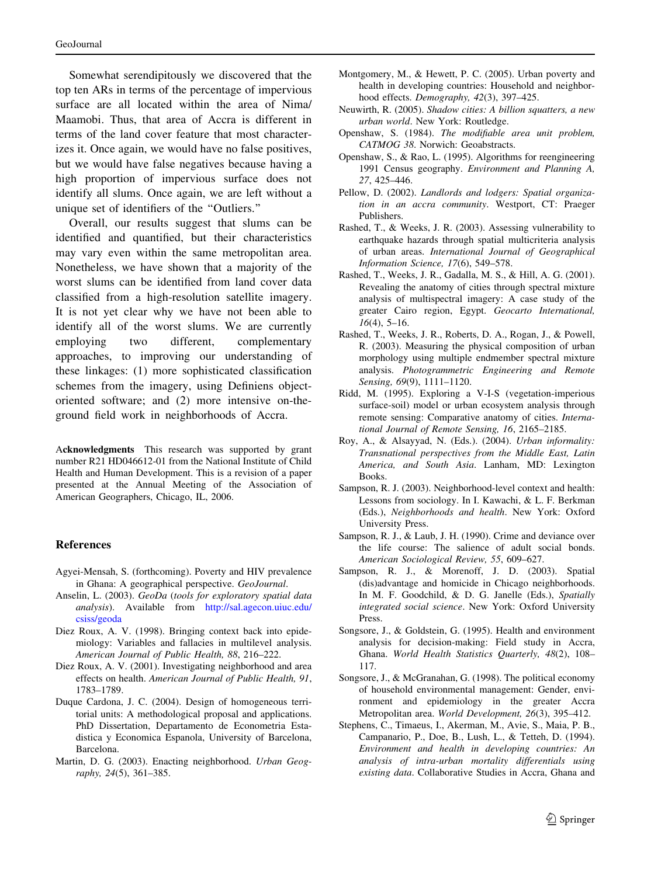<span id="page-12-0"></span>Somewhat serendipitously we discovered that the top ten ARs in terms of the percentage of impervious surface are all located within the area of Nima/ Maamobi. Thus, that area of Accra is different in terms of the land cover feature that most characterizes it. Once again, we would have no false positives, but we would have false negatives because having a high proportion of impervious surface does not identify all slums. Once again, we are left without a unique set of identifiers of the ''Outliers.''

Overall, our results suggest that slums can be identified and quantified, but their characteristics may vary even within the same metropolitan area. Nonetheless, we have shown that a majority of the worst slums can be identified from land cover data classified from a high-resolution satellite imagery. It is not yet clear why we have not been able to identify all of the worst slums. We are currently employing two different, complementary approaches, to improving our understanding of these linkages: (1) more sophisticated classification schemes from the imagery, using Definiens objectoriented software; and (2) more intensive on-theground field work in neighborhoods of Accra.

Acknowledgments This research was supported by grant number R21 HD046612-01 from the National Institute of Child Health and Human Development. This is a revision of a paper presented at the Annual Meeting of the Association of American Geographers, Chicago, IL, 2006.

#### References

- Agyei-Mensah, S. (forthcoming). Poverty and HIV prevalence in Ghana: A geographical perspective. GeoJournal.
- Anselin, L. (2003). GeoDa (tools for exploratory spatial data analysis). Available from [http://sal.agecon.uiuc.edu/](http://sal.agecon.uiuc.edu/csiss/geoda) [csiss/geoda](http://sal.agecon.uiuc.edu/csiss/geoda)
- Diez Roux, A. V. (1998). Bringing context back into epidemiology: Variables and fallacies in multilevel analysis. American Journal of Public Health, 88, 216–222.
- Diez Roux, A. V. (2001). Investigating neighborhood and area effects on health. American Journal of Public Health, 91, 1783–1789.
- Duque Cardona, J. C. (2004). Design of homogeneous territorial units: A methodological proposal and applications. PhD Dissertation, Departamento de Econometria Estadistica y Economica Espanola, University of Barcelona, Barcelona.
- Martin, D. G. (2003). Enacting neighborhood. Urban Geography, 24(5), 361–385.
- Montgomery, M., & Hewett, P. C. (2005). Urban poverty and health in developing countries: Household and neighborhood effects. Demography, 42(3), 397–425.
- Neuwirth, R. (2005). Shadow cities: A billion squatters, a new urban world. New York: Routledge.
- Openshaw, S. (1984). The modifiable area unit problem, CATMOG 38. Norwich: Geoabstracts.
- Openshaw, S., & Rao, L. (1995). Algorithms for reengineering 1991 Census geography. Environment and Planning A, 27, 425–446.
- Pellow, D. (2002). Landlords and lodgers: Spatial organization in an accra community. Westport, CT: Praeger Publishers.
- Rashed, T., & Weeks, J. R. (2003). Assessing vulnerability to earthquake hazards through spatial multicriteria analysis of urban areas. International Journal of Geographical Information Science, 17(6), 549–578.
- Rashed, T., Weeks, J. R., Gadalla, M. S., & Hill, A. G. (2001). Revealing the anatomy of cities through spectral mixture analysis of multispectral imagery: A case study of the greater Cairo region, Egypt. Geocarto International,  $16(4)$ , 5–16.
- Rashed, T., Weeks, J. R., Roberts, D. A., Rogan, J., & Powell, R. (2003). Measuring the physical composition of urban morphology using multiple endmember spectral mixture analysis. Photogrammetric Engineering and Remote Sensing, 69(9), 1111–1120.
- Ridd, M. (1995). Exploring a V-I-S (vegetation-imperious surface-soil) model or urban ecosystem analysis through remote sensing: Comparative anatomy of cities. International Journal of Remote Sensing, 16, 2165–2185.
- Roy, A., & Alsayyad, N. (Eds.). (2004). Urban informality: Transnational perspectives from the Middle East, Latin America, and South Asia. Lanham, MD: Lexington Books.
- Sampson, R. J. (2003). Neighborhood-level context and health: Lessons from sociology. In I. Kawachi, & L. F. Berkman (Eds.), Neighborhoods and health. New York: Oxford University Press.
- Sampson, R. J., & Laub, J. H. (1990). Crime and deviance over the life course: The salience of adult social bonds. American Sociological Review, 55, 609–627.
- Sampson, R. J., & Morenoff, J. D. (2003). Spatial (dis)advantage and homicide in Chicago neighborhoods. In M. F. Goodchild, & D. G. Janelle (Eds.), Spatially integrated social science. New York: Oxford University Press.
- Songsore, J., & Goldstein, G. (1995). Health and environment analysis for decision-making: Field study in Accra, Ghana. World Health Statistics Quarterly, 48(2), 108– 117.
- Songsore, J., & McGranahan, G. (1998). The political economy of household environmental management: Gender, environment and epidemiology in the greater Accra Metropolitan area. World Development, 26(3), 395–412.
- Stephens, C., Timaeus, I., Akerman, M., Avie, S., Maia, P. B., Campanario, P., Doe, B., Lush, L., & Tetteh, D. (1994). Environment and health in developing countries: An analysis of intra-urban mortality differentials using existing data. Collaborative Studies in Accra, Ghana and